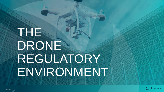## THE DRONE REGULATORY ENVIRONMENT

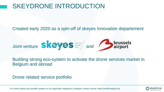## SKEYDRONE INTRODUCTION

#### Created early 2020 as a spin-off of skeyes Innovation departement

Joint venture and

Building strong eco-system to activate the drone services market in Belgium and abroad

Drone related service portfolio

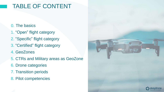## TABLE OF CONTENT

#### 0. The basics

- 1. "Open" flight category
- 2. "Specific" flight category
- 3. "Certified" flight category
- 4. GeoZones
- 5. CTRs and Military areas as GeoZone
- 6. Drone categories
- 7. Transition periods
- 8. Pilot competencies

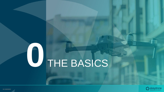# U THE BASICS

elu

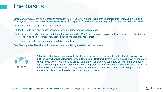

Since January 2021, the new European regulation (EU IR 2019/947) concerning drones entered into force, also in Belgium. This regulation provided a totally new framework which replaced EU-wide all national legislation as we used to know before.

The new rules can be split in two main pieces:

- the EU-wide do's-and-don'ts that apply to your flight where ever you are and
- those still defined at national level through a concept called GeoZones. In case you plan to fly in one of those GeoZones you will also need to comply with access conditions that only apply there.

By the way: just make sure you comply with both at all times.

Feel free to get familiar with it all, piece by piece, and let's get started with the basics.



A flight is and will always remain a flight of course but under the current EU rules **flights are categorized in three very distinct categories: Open, Specific or Certified.** Before take-off, you'll have to figure out what it is you want to do and what drone you plan on using so you can figure out which flight category applies to your flight. Depending on that, things might look quite different and both the operator as well as the pilot will need to comply to a totally **different set of do's-and-don'ts**. Flights in the Open category are for example always limited to maximum height of 120m.



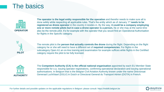### The basics



**The operator is the legal entity responsible for the operation** and therefor needs to make sure all is done safely while respecting all applicable rules. That's the entity which as of January 1<sup>st</sup> needs to be **registered as drone operator** in the country it resides in. By the way, **it could be a company employing one or more remote pilots but in case a drone operator is a person,** he or she may at the same time also be the remote pilot. It's for example with the operator that you would find an Operational Authorisation for flights in the Specific category.



The remote pilot is the **person that actually controls the drone** during the flight. Depending on the flight category he or she will need to have a different set of **required competencies**. For flights in the subcategory Open A1 an on-line training and examination for example suffices while flights in the Certified **PILOT** category require the pilot to be fully licensed.



The **Competent Authority (CA) is the official national organisation** appointed by each EU Member State responsible for o.a. issuing operator registrations, confirming operational declaration and issuing operational authorisations. In Belgium that is the Belgian Civil Aviation Authority known under the name Directoraat Generaal LuchtVaart (DGLV) in Dutch or Directorat General du Transport Aérien (DGTA) in French. **AUTHORITY**

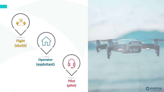



Pilot (pilot)

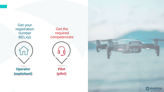Get your registration number BELxyz



Operator (exploitant)

Get the required competencies



Pilot (pilot)

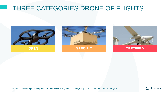## THREE CATEGORIES DRONE OF FLIGHTS







**OPEN SPECIFIC CERTIFIED**

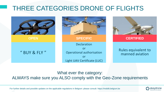## THREE CATEGORIES DRONE OF FLIGHTS



#### What ever the category: ALWAYS make sure you ALSO comply with the Geo-Zone requirements

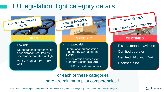## EU legislation flight category details



Low risk

Including automated

flights

- To operational dationsals • No operational authorisation operator before start of flight
- VLOS, 25kg MTOM, 120m AGL

Including BVLOS & Including BYLE  $e^{-\frac{1}{2}||x||}$ 

- Increased risk
- Operational authorisation required by CA based on **SORA**

**U** Declaration sunices for<br>Standard Scenario's (STS-x) **or** Declaration suffices for **or** LUC with self-authorisation



#### **OPEN SPECIFIC CERTIFIED**

- Risk as manned aviation
- Certified operator • Certified operator
- $\frac{1}{100}$  manned application • Certified UAS with CoA
- Licensed pilot

For each of these categories there are minimum pilot competencies !